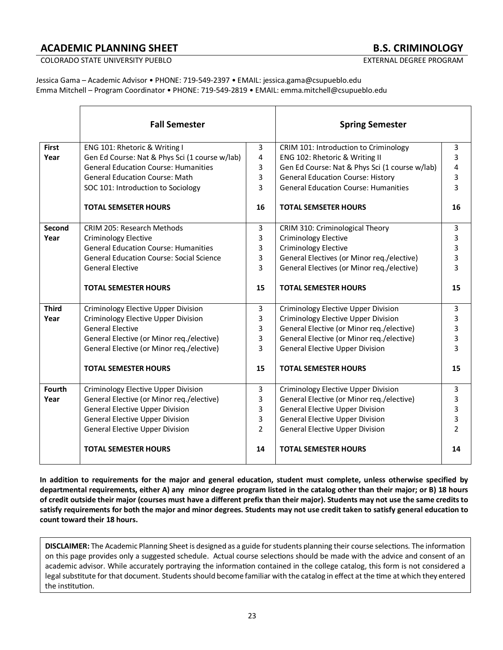# **ACADEMIC PLANNING SHEET B.S. CRIMINOLOGY**

COLORADO STATE UNIVERSITY PUEBLO **EXTERNAL DEGREE PROGRAM** 

Jessica Gama – Academic Advisor • PHONE: 719-549-2397 • EMAIL: jessica.gama@csupueblo.edu Emma Mitchell – Program Coordinator • PHONE: 719-549-2819 • EMAIL: emma.mitchell@csupueblo.edu

|               | <b>Fall Semester</b>                            |                | <b>Spring Semester</b>                         |                |
|---------------|-------------------------------------------------|----------------|------------------------------------------------|----------------|
| <b>First</b>  | ENG 101: Rhetoric & Writing I                   | 3              | CRIM 101: Introduction to Criminology          | 3              |
| Year          | Gen Ed Course: Nat & Phys Sci (1 course w/lab)  | 4              | ENG 102: Rhetoric & Writing II                 | 3              |
|               | <b>General Education Course: Humanities</b>     | 3              | Gen Ed Course: Nat & Phys Sci (1 course w/lab) | 4              |
|               | <b>General Education Course: Math</b>           | 3              | <b>General Education Course: History</b>       | 3              |
|               | SOC 101: Introduction to Sociology              | 3              | <b>General Education Course: Humanities</b>    | 3              |
|               | <b>TOTAL SEMSETER HOURS</b>                     | 16             | <b>TOTAL SEMSETER HOURS</b>                    | 16             |
| <b>Second</b> | CRIM 205: Research Methods                      | 3              | CRIM 310: Criminological Theory                | 3              |
| Year          | <b>Criminology Elective</b>                     | 3              | <b>Criminology Elective</b>                    | 3              |
|               | <b>General Education Course: Humanities</b>     | 3              | <b>Criminology Elective</b>                    | 3              |
|               | <b>General Education Course: Social Science</b> | 3              | General Electives (or Minor reg./elective)     | 3              |
|               | <b>General Elective</b>                         | 3              | General Electives (or Minor reg./elective)     | 3              |
|               | <b>TOTAL SEMESTER HOURS</b>                     | 15             | <b>TOTAL SEMESTER HOURS</b>                    | 15             |
| <b>Third</b>  | Criminology Elective Upper Division             | 3              | <b>Criminology Elective Upper Division</b>     | 3              |
| Year          | <b>Criminology Elective Upper Division</b>      | 3              | <b>Criminology Elective Upper Division</b>     | 3              |
|               | <b>General Elective</b>                         | 3              | General Elective (or Minor reg./elective)      | 3              |
|               | General Elective (or Minor reg./elective)       | 3              | General Elective (or Minor reg./elective)      | 3              |
|               | General Elective (or Minor req./elective)       | 3              | <b>General Elective Upper Division</b>         | 3              |
|               | <b>TOTAL SEMESTER HOURS</b>                     | 15             | <b>TOTAL SEMESTER HOURS</b>                    | 15             |
| Fourth        | Criminology Elective Upper Division             | 3              | Criminology Elective Upper Division            | 3              |
| Year          | General Elective (or Minor req./elective)       | 3              | General Elective (or Minor reg./elective)      | 3              |
|               | <b>General Elective Upper Division</b>          | 3              | <b>General Elective Upper Division</b>         | 3              |
|               | <b>General Elective Upper Division</b>          | 3              | <b>General Elective Upper Division</b>         | 3              |
|               | <b>General Elective Upper Division</b>          | $\overline{2}$ | <b>General Elective Upper Division</b>         | $\overline{2}$ |
|               | <b>TOTAL SEMESTER HOURS</b>                     | 14             | <b>TOTAL SEMESTER HOURS</b>                    | 14             |

**In addition to requirements for the major and general education, student must complete, unless otherwise specified by departmental requirements, either A) any minor degree program listed in the catalog other than their major; or B) 18 hours of credit outside their major (courses must have a different prefix than their major). Students may not use the same credits to satisfy requirements for both the major and minor degrees. Students may not use credit taken to satisfy general education to count toward their 18 hours.** 

**DISCLAIMER:** The Academic Planning Sheet is designed as a guide for students planning their course selections. The information on this page provides only a suggested schedule. Actual course selections should be made with the advice and consent of an academic advisor. While accurately portraying the information contained in the college catalog, this form is not considered a legal substitute for that document. Students should become familiar with the catalog in effect at the time at which they entered the institution.